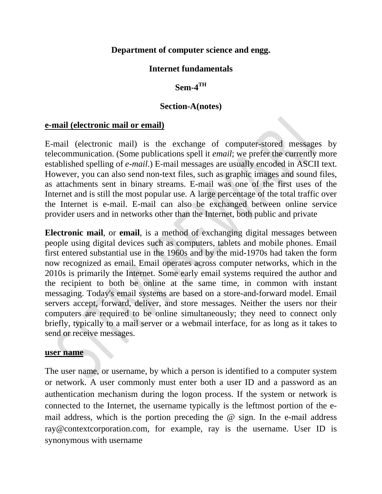#### **Department of computer science and engg.**

#### **Internet fundamentals**

#### **Sem-4TH**

#### **Section-A(notes)**

#### **e-mail (electronic mail or email)**

E-mail (electronic mail) is the exchange of computer-stored messages by telecommunication. (Some publications spell it *email*; we prefer the currently more established spelling of *e-mail*.) E-mail messages are usually encoded in [ASCII](http://searchcio-midmarket.techtarget.com/definition/ASCII) text. However, you can also send non-text files, such as graphic images and sound files, as attachments sent in [binary](http://searchcio-midmarket.techtarget.com/definition/binary) streams. E-mail was one of the first uses of the Internet and is still the most popular use. A large percentage of the total traffic over the Internet is e-mail. E-mail can also be exchanged between [online service](http://searchsoa.techtarget.com/definition/online-service-provider-OSP)  [provider](http://searchsoa.techtarget.com/definition/online-service-provider-OSP) users and in networks other than the Internet, both public and private

**Electronic mail**, or **email**, is a method of exchanging digital messages between people using digital devices such as computers, tablets and mobile phones. Email first entered substantial use in the 1960s and by the mid-1970s had taken the form now recognized as email. Email operates across [computer networks,](https://en.wikipedia.org/wiki/Computer_network) which in the 2010s is primarily the [Internet.](https://en.wikipedia.org/wiki/Internet) Some early email systems required the author and the recipient to both be [online](https://en.wikipedia.org/wiki/Online_and_offline) at the same time, in common with [instant](https://en.wikipedia.org/wiki/Instant_messaging)  [messaging.](https://en.wikipedia.org/wiki/Instant_messaging) Today's email systems are based on a [store-and-forward](https://en.wikipedia.org/wiki/Store-and-forward) model. Email [servers](https://en.wikipedia.org/wiki/Server_%28computing%29) accept, forward, deliver, and store messages. Neither the users nor their computers are required to be online simultaneously; they need to connect only briefly, typically to a [mail server](https://en.wikipedia.org/wiki/Message_transfer_agent) or a [webmail](https://en.wikipedia.org/wiki/Webmail) interface, for as long as it takes to send or receive messages.

#### **user name**

The user name, or username, by which a person is identified to a computer system or network. A user commonly must enter both a user ID and a password as an authentication mechanism during the logon process. If the system or network is connected to the Internet, the username typically is the leftmost portion of the email address, which is the portion preceding the  $\omega$  sign. In the e-mail address ray@contextcorporation.com, for example, ray is the username. User ID is synonymous with username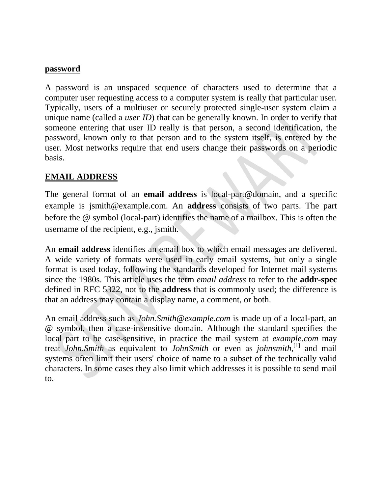#### **password**

A password is an unspaced sequence of [characters](http://searchcio-midmarket.techtarget.com/definition/character) used to determine that a computer user requesting access to a computer system is really that particular user. Typically, users of a multiuser or securely protected single-user system claim a unique name (called a *user ID*) that can be generally known. In order to verify that someone entering that user ID really is that person, a second identification, the password, known only to that person and to the system itself, is entered by the user. Most networks require that end users change their passwords on a periodic basis.

#### **EMAIL ADDRESS**

The general format of an **email address** is local-part@domain, and a specific example is jsmith@example.com. An **address** consists of two parts. The part before the @ symbol (local-part) identifies the name of a mailbox. This is often the username of the recipient, e.g., jsmith.

An **email address** identifies an email box to which [email](https://en.wikipedia.org/wiki/Email) messages are delivered. A [wide variety of formats](https://en.wikipedia.org/wiki/Non-Internet_email_address) were used in early email systems, but only a single format is used today, following the standards developed for [Internet](https://en.wikipedia.org/wiki/Internet) mail systems since the 1980s. This article uses the term *email address* to refer to the **addr-spec** defined in [RFC 5322,](https://tools.ietf.org/html/rfc5322) not to the **address** that is commonly used; the difference is that an address may contain a display name, a comment, or both.

An email address such as *John.Smith@example.com* is made up of a [local-part,](https://en.wikipedia.org/wiki/Email_address#Local-part) an @ symbol, then a case-insensitive [domain.](https://en.wikipedia.org/wiki/Email_address#Domain_part) Although the standard specifies the local part to be case-sensitive, in practice the mail system at *example.com* may treat *John.Smith* as equivalent to *JohnSmith* or even as *johnsmith*, [\[1\]](https://en.wikipedia.org/wiki/Email_address#cite_note-1) and mail systems often limit their users' choice of name to a subset of the technically valid characters. In some cases they also limit which addresses it is possible to send mail to.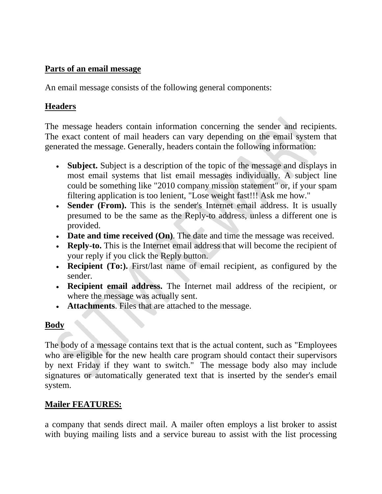#### **Parts of an email message**

An email message consists of the following general components:

#### **Headers**

The message headers contain information concerning the sender and recipients. The exact content of mail headers can vary depending on the email system that generated the message. Generally, headers contain the following information:

- **Subject.** Subject is a description of the topic of the message and displays in most email systems that list email messages individually. A subject line could be something like "2010 company mission statement" or, if your spam filtering application is too lenient, "Lose weight fast!!! Ask me how."
- **Sender (From).** This is the sender's Internet email address. It is usually presumed to be the same as the Reply-to address, unless a different one is provided.
- **Date and time received (On)**. The date and time the message was received.
- **Reply-to.** This is the Internet email address that will become the recipient of your reply if you click the Reply button.
- **Recipient (To:).** First/last name of email recipient, as configured by the sender.
- ∑ **Recipient email address.** The Internet mail address of the recipient, or where the message was actually sent.
- **Attachments**. Files that are attached to the message.

# **Body**

The body of a message contains text that is the actual content, such as "Employees who are eligible for the new health care program should contact their supervisors by next Friday if they want to switch." The message body also may include signatures or automatically generated text that is inserted by the sender's email system.

# **Mailer FEATURES:**

a company that sends direct mail. A mailer often employs a list broker to assist with buying mailing lists and a service bureau to assist with the list processing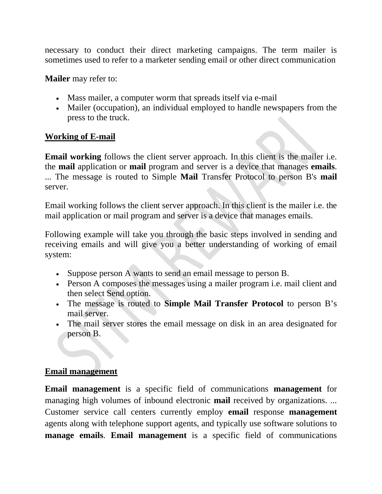necessary to conduct their direct marketing campaigns. The term mailer is sometimes used to refer to a marketer sending email or other direct communication

**Mailer** may refer to:

- [Mass mailer,](https://en.wikipedia.org/wiki/Mass_mailer) a computer worm that spreads itself via e-mail
- [Mailer \(occupation\),](https://en.wikipedia.org/wiki/Mailer_%28occupation%29) an individual employed to handle newspapers from the press to the truck.

#### **Working of E-mail**

**Email working** follows the client server approach. In this client is the mailer i.e. the **mail** application or **mail** program and server is a device that manages **emails**. ... The message is routed to Simple **Mail** Transfer Protocol to person B's **mail** server.

Email working follows the client server approach. In this client is the mailer i.e. the mail application or mail program and server is a device that manages emails.

Following example will take you through the basic steps involved in sending and receiving emails and will give you a better understanding of working of email system:

- Suppose person A wants to send an email message to person B.
- Person A composes the messages using a mailer program i.e. mail client and then select Send option.
- ∑ The message is routed to **Simple Mail Transfer Protocol** to person B's mail server.
- The mail server stores the email message on disk in an area designated for person B.

#### **Email management**

**Email management** is a specific field of communications **management** for managing high volumes of inbound electronic **mail** received by organizations. ... Customer service call centers currently employ **email** response **management** agents along with telephone support agents, and typically use software solutions to **manage emails**. **Email management** is a specific field of [communications](https://en.wikipedia.org/wiki/Communications_management)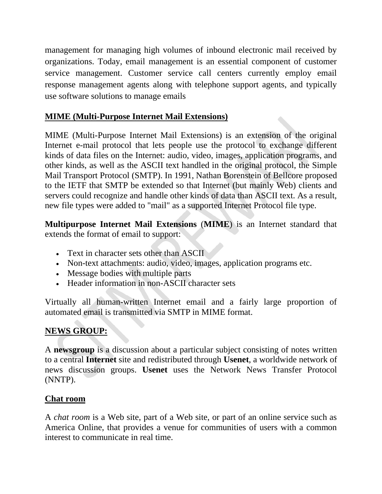[management](https://en.wikipedia.org/wiki/Communications_management) for managing high volumes of inbound electronic mail received by organizations. Today, email management is an essential component of customer service management. Customer service call centers currently employ email response management agents along with telephone support agents, and typically use software solutions to manage emails

# **MIME (Multi-Purpose Internet Mail Extensions)**

MIME (Multi-Purpose Internet Mail Extensions) is an extension of the original Internet [e-mail](http://searchmobilecomputing.techtarget.com/definition/e-mail) [protocol](http://searchnetworking.techtarget.com/definition/protocol) that lets people use the protocol to exchange different kinds of data files on the Internet: audio, video, images, application programs, and other kinds, as well as the [ASCII](http://searchcio-midmarket.techtarget.com/definition/ASCII) text handled in the original protocol, the Simple Mail Transport Protocol [\(SMTP\)](http://searchexchange.techtarget.com/definition/SMTP). In 1991, Nathan Borenstein of Bellcore proposed to the [IETF](http://searchsoa.techtarget.com/definition/IETF) that SMTP be extended so that Internet (but mainly Web) [clients](http://searchenterprisedesktop.techtarget.com/definition/client) and [servers](http://whatis.techtarget.com/definition/server) could recognize and handle other kinds of data than ASCII text. As a result, new file types were added to "mail" as a supported Internet Protocol file type.

**Multipurpose Internet Mail Extensions** (**MIME**) is an [Internet standard](https://en.wikipedia.org/wiki/Internet_standard) that extends the format of [email](https://en.wikipedia.org/wiki/Email) to support:

- Text in [character sets](https://en.wikipedia.org/wiki/Character_set) other than [ASCII](https://en.wikipedia.org/wiki/ASCII)
- Non-text attachments: audio, video, images, application programs etc.
- Message bodies with multiple parts
- ∑ Header information in non-ASCII character sets

Virtually all human-written [Internet](https://en.wikipedia.org/wiki/Internet) email and a fairly large proportion of automated email is transmitted via [SMTP](https://en.wikipedia.org/wiki/Simple_Mail_Transfer_Protocol) in MIME format.

# **NEWS GROUP:**

A **newsgroup** is a discussion about a particular subject consisting of notes written to a central **Internet** site and redistributed through **Usenet**, a worldwide network of news discussion groups. **Usenet** uses the Network News Transfer Protocol (NNTP).

# **Chat room**

A *chat room* is a Web site, part of a Web site, or part of an online service such as America Online, that provides a venue for communities of users with a common interest to communicate in real time.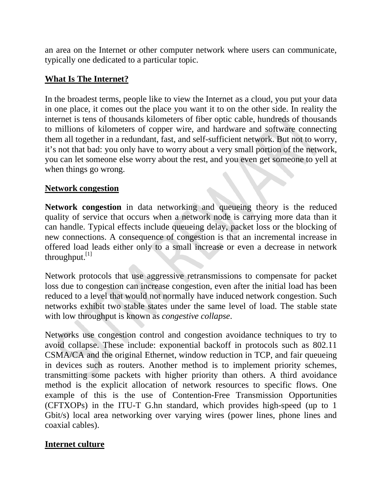an area on the Internet or other computer network where users can communicate, typically one dedicated to a particular topic.

# **What Is The Internet?**

In the broadest terms, people like to view the Internet as a cloud, you put your data in one place, it comes out the place you want it to on the other side. In reality the internet is tens of thousands kilometers of fiber optic cable, hundreds of thousands to millions of kilometers of copper wire, and hardware and software connecting them all together in a redundant, fast, and self-sufficient network. But not to worry, it's not that bad: you only have to worry about a very small portion of the network, you can let someone else worry about the rest, and you even get someone to yell at when things go wrong.

# **Network congestion**

**Network congestion** in [data networking](https://en.wikipedia.org/wiki/Data_networking) and [queueing theory](https://en.wikipedia.org/wiki/Queueing_theory) is the reduced [quality of service](https://en.wikipedia.org/wiki/Quality_of_service) that occurs when a network node is carrying more data than it can handle. Typical effects include [queueing delay,](https://en.wikipedia.org/wiki/Queueing_delay) [packet loss](https://en.wikipedia.org/wiki/Packet_loss) or the [blocking](https://en.wikipedia.org/wiki/Blocking_probability) of new connections. A consequence of congestion is that an incremental increase in [offered load](https://en.wikipedia.org/wiki/Offered_load) leads either only to a small increase or even a decrease in network [throughput.](https://en.wikipedia.org/wiki/Throughput) $^{[1]}$  $^{[1]}$  $^{[1]}$ 

[Network protocols](https://en.wikipedia.org/wiki/Network_protocol) that use aggressive [retransmissions](https://en.wikipedia.org/wiki/Retransmission_%28data_networks%29) to compensate for packet loss due to congestion can increase congestion, even after the initial load has been reduced to a level that would not normally have induced network congestion. Such networks exhibit two stable states under the same level of load. The stable state with low throughput is known as *congestive collapse*.

Networks use congestion control and congestion avoidance techniques to try to avoid collapse. These include: [exponential backoff](https://en.wikipedia.org/wiki/Exponential_backoff) in protocols such as [802.11](https://en.wikipedia.org/wiki/802.11) [CSMA/CA](https://en.wikipedia.org/wiki/Carrier_sense_multiple_access_with_collision_avoidance) and the original [Ethernet,](https://en.wikipedia.org/wiki/Ethernet) [window](https://en.wikipedia.org/wiki/Sliding_window) reduction in [TCP,](https://en.wikipedia.org/wiki/Transmission_control_protocol) and [fair queueing](https://en.wikipedia.org/wiki/Fair_queueing) in devices such as [routers.](https://en.wikipedia.org/wiki/Router_%28computing%29) Another method is to implement priority schemes, transmitting some packets with higher priority than others. A third avoidance method is the explicit allocation of network resources to specific flows. One example of this is the use of Contention-Free Transmission Opportunities (CFTXOPs) in the [ITU-T](https://en.wikipedia.org/wiki/ITU-T) [G.hn](https://en.wikipedia.org/wiki/G.hn) standard, which provides high-speed (up to 1 Gbit/s) [local area networking](https://en.wikipedia.org/wiki/Local_area_network) over varying wires (power lines, phone lines and coaxial cables).

# **Internet culture**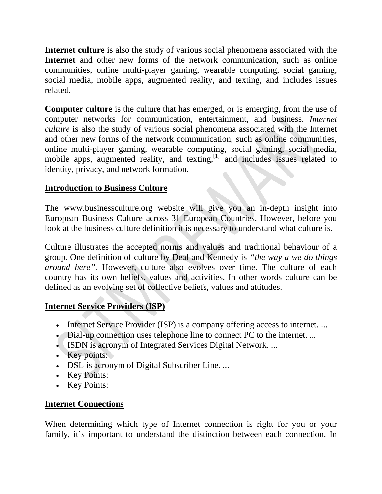**Internet culture** is also the study of various social phenomena associated with the **Internet** and other new forms of the network communication, such as online communities, online multi-player gaming, wearable computing, social gaming, social media, mobile apps, augmented reality, and texting, and includes issues related.

**Computer culture** is the [culture](https://en.wikipedia.org/wiki/Culture) that has emerged, or is emerging, from the use of [computer networks](https://en.wikipedia.org/wiki/Computer_network) for [communication,](https://en.wikipedia.org/wiki/Computer-mediated_communication) [entertainment,](https://en.wikipedia.org/wiki/Entertainment_industry#Electronic_entertainment) and [business.](https://en.wikipedia.org/wiki/Electronic_business) *Internet culture* is also the study of various [social phenomena associated with the Internet](https://en.wikipedia.org/wiki/Internet#Social_impact) and other new forms of the network communication, such as online communities, online multi-player gaming, wearable computing, social gaming, social media, mobile apps, augmented reality, and texting, $\left[1\right]$  and includes issues related to identity, privacy, and network formation.

# **Introduction to Business Culture**

The [www.businessculture.org](http://businessculture.org/) website will give you an in-depth insight into European Business Culture across 31 European Countries. However, before you look at the business culture definition it is necessary to understand what culture is.

Culture illustrates the accepted norms and values and traditional behaviour of a group. One definition of culture by Deal and Kennedy is *"the way a we do things around here"*. However, culture also evolves over time. The culture of each country has its own beliefs, values and activities. In other words culture can be defined as an evolving set of collective beliefs, values and attitudes.

# **Internet Service Providers (ISP)**

- Internet Service Provider (ISP) is a company offering access to internet. ...
- Dial-up connection uses telephone line to connect PC to the internet. ...
- ISDN is acronym of Integrated Services Digital Network. ...
- Key points:
- ∑ DSL is acronym of Digital Subscriber Line. ...
- Key Points:
- ∑ Key Points:

# **Internet Connections**

When determining which type of Internet connection is right for you or your family, it's important to understand the distinction between each connection. In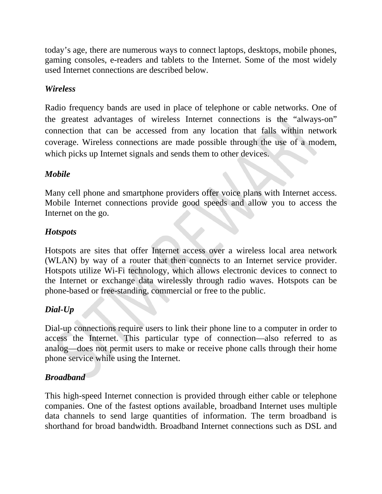today's age, there are numerous ways to connect laptops, desktops, mobile phones, gaming consoles, e-readers and tablets to the Internet. Some of the most widely used Internet connections are described below.

# *Wireless*

Radio frequency bands are used in place of telephone or cable networks. One of the greatest advantages of wireless Internet connections is the "always-on" connection that can be accessed from any location that falls within network coverage. Wireless connections are made possible through the use of a modem, which picks up Internet signals and sends them to other devices.

# *Mobile*

Many cell phone and smartphone providers offer voice plans with Internet access. Mobile Internet connections provide good speeds and allow you to access the [Internet on the go.](http://www.xfinity.com/resources/internet-on-the-go.html)

# *Hotspots*

Hotspots are sites that offer Internet access over a wireless local area network (WLAN) by way of a router that then connects to an Internet service provider. Hotspots utilize [Wi-Fi](http://wifi.comcast.com/) technology, which allows electronic devices to connect to the Internet or exchange data wirelessly through radio waves. Hotspots can be phone-based or free-standing, commercial or free to the public.

# *Dial-Up*

Dial-up connections require users to link their phone line to a computer in order to access the Internet. This particular type of connection—also referred to as analog—does not permit users to make or receive phone calls through their [home](http://www.xfinity.com/home-phone-service.html)  [phone service](http://www.xfinity.com/home-phone-service.html) while using the Internet.

# *Broadband*

This high-speed Internet connection is provided through either cable or telephone companies. One of the fastest options available, broadband Internet uses multiple data channels to send large quantities of information. The term broadband is shorthand for broad bandwidth. Broadband Internet connections such as DSL and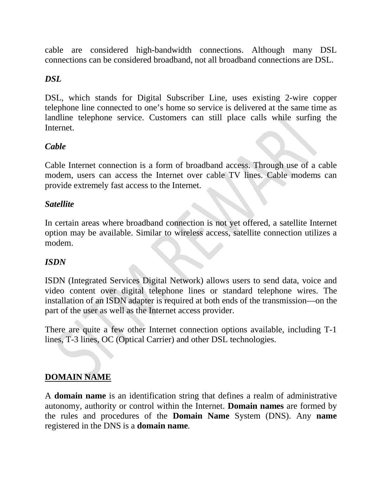cable are considered high-bandwidth connections. Although many DSL connections can be considered broadband, not all broadband connections are DSL.

#### *DSL*

DSL, which stands for Digital Subscriber Line, uses existing 2-wire copper telephone line connected to one's home so service is delivered at the same time as landline telephone service. Customers can still place calls while surfing the Internet.

# *Cable*

Cable Internet connection is a form of broadband access. Through use of a cable modem, users can access the Internet over cable TV lines. Cable modems can provide extremely fast access to the Internet.

#### *Satellite*

In certain areas where broadband connection is not yet offered, a satellite Internet option may be available. Similar to wireless access, satellite connection utilizes a modem.

#### *ISDN*

ISDN (Integrated Services Digital Network) allows users to send data, voice and video content over digital telephone lines or standard telephone wires. The installation of an ISDN adapter is required at both ends of the transmission—on the part of the user as well as the Internet access provider.

There are quite a few other Internet connection options available, including T-1 lines, T-3 lines, OC (Optical Carrier) and other DSL technologies.

#### **DOMAIN NAME**

A **domain name** is an identification string that defines a realm of administrative autonomy, authority or control within the Internet. **Domain names** are formed by the rules and procedures of the **Domain Name** System (DNS). Any **name** registered in the DNS is a **domain name**.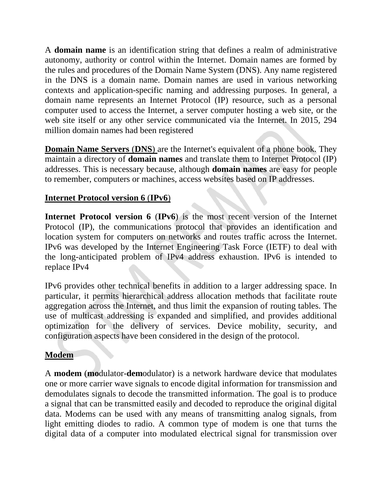A **domain name** is an identification [string](https://en.wikipedia.org/wiki/String_%28computer_science%29) that defines a realm of administrative autonomy, authority or control within the [Internet.](https://en.wikipedia.org/wiki/Internet) Domain names are formed by the rules and procedures of the [Domain Name System](https://en.wikipedia.org/wiki/Domain_Name_System) (DNS). Any name registered in the DNS is a domain name. Domain names are used in various networking contexts and application-specific naming and addressing purposes. In general, a domain name represents an [Internet Protocol](https://en.wikipedia.org/wiki/Internet_Protocol) (IP) resource, such as a personal computer used to access the Internet, a server computer hosting a [web site,](https://en.wikipedia.org/wiki/Web_site) or the web site itself or any other service communicated via the Internet. In 2015, 294 million domain names had been registered

**Domain Name Servers** (**DNS**) are the Internet's equivalent of a phone book. They maintain a directory of **domain names** and translate them to Internet Protocol (IP) addresses. This is necessary because, although **domain names** are easy for people to remember, computers or machines, access websites based on IP addresses.

# **Internet Protocol version 6** (**IPv6**)

**Internet Protocol version 6** (**IPv6**) is the most recent version of the [Internet](https://en.wikipedia.org/wiki/Internet_Protocol)  [Protocol](https://en.wikipedia.org/wiki/Internet_Protocol) (IP), the [communications protocol](https://en.wikipedia.org/wiki/Communications_protocol) that provides an identification and location system for computers on networks and routes traffic across the [Internet.](https://en.wikipedia.org/wiki/Internet) IPv6 was developed by the [Internet Engineering Task Force](https://en.wikipedia.org/wiki/Internet_Engineering_Task_Force) (IETF) to deal with the long-anticipated problem of [IPv4 address exhaustion.](https://en.wikipedia.org/wiki/IPv4_address_exhaustion) IPv6 is intended to replace [IPv4](https://en.wikipedia.org/wiki/IPv4)

IPv6 provides other technical benefits in addition to a larger addressing space. In particular, it permits hierarchical address allocation methods that facilitate route aggregation across the Internet, and thus limit the expansion of [routing tables.](https://en.wikipedia.org/wiki/Routing_table) The use of multicast addressing is expanded and simplified, and provides additional optimization for the delivery of services. Device mobility, security, and configuration aspects have been considered in the design of the protocol.

# **Modem**

A **modem** (**mo**dulator-**dem**odulator) is a [network hardware](https://en.wikipedia.org/wiki/Network_hardware) device that [modulates](https://en.wikipedia.org/wiki/Modulation#Digital_modulation_methods) one or more [carrier wave](https://en.wikipedia.org/wiki/Carrier_wave) signals to encode [digital information](https://en.wikipedia.org/wiki/Digital_information) for transmission and [demodulates](https://en.wikipedia.org/wiki/Demodulation) signals to decode the transmitted information. The goal is to produce a [signal](https://en.wikipedia.org/wiki/Signal_%28electronics%29) that can be transmitted easily and decoded to reproduce the original digital data. Modems can be used with any means of transmitting analog signals, from [light emitting diodes](https://en.wikipedia.org/wiki/Light_emitting_diode) to [radio.](https://en.wikipedia.org/wiki/Radio) A common type of modem is one that turns the [digital data](https://en.wikipedia.org/wiki/Digital_data) of a [computer](https://en.wikipedia.org/wiki/Computer) into modulated [electrical signal](https://en.wikipedia.org/wiki/Electrical_signal) for transmission over